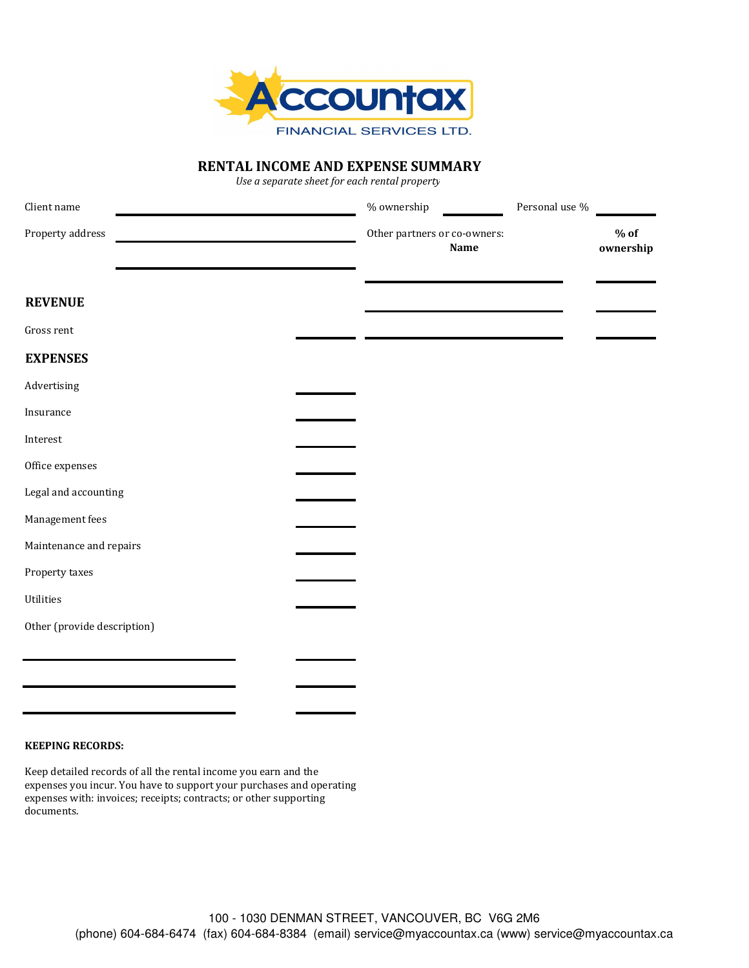

## **RENTAL INCOME AND EXPENSE SUMMARY**

*Use a separate sheet for each rental property*

| Client name                 | % ownership                          | Personal use $\%$ |                     |
|-----------------------------|--------------------------------------|-------------------|---------------------|
| Property address            | Other partners or co-owners:<br>Name |                   | $%$ of<br>ownership |
| <b>REVENUE</b>              |                                      |                   |                     |
| Gross rent                  |                                      |                   |                     |
| <b>EXPENSES</b>             |                                      |                   |                     |
| Advertising                 |                                      |                   |                     |
| Insurance                   |                                      |                   |                     |
| Interest                    |                                      |                   |                     |
| Office expenses             |                                      |                   |                     |
| Legal and accounting        |                                      |                   |                     |
| Management fees             |                                      |                   |                     |
| Maintenance and repairs     |                                      |                   |                     |
| Property taxes              |                                      |                   |                     |
| Utilities                   |                                      |                   |                     |
| Other (provide description) |                                      |                   |                     |
|                             |                                      |                   |                     |
|                             |                                      |                   |                     |
|                             |                                      |                   |                     |

## **KEEPING RECORDS:**

Keep detailed records of all the rental income you earn and the expenses you incur. You have to support your purchases and operating expenses with: invoices; receipts; contracts; or other supporting documents.